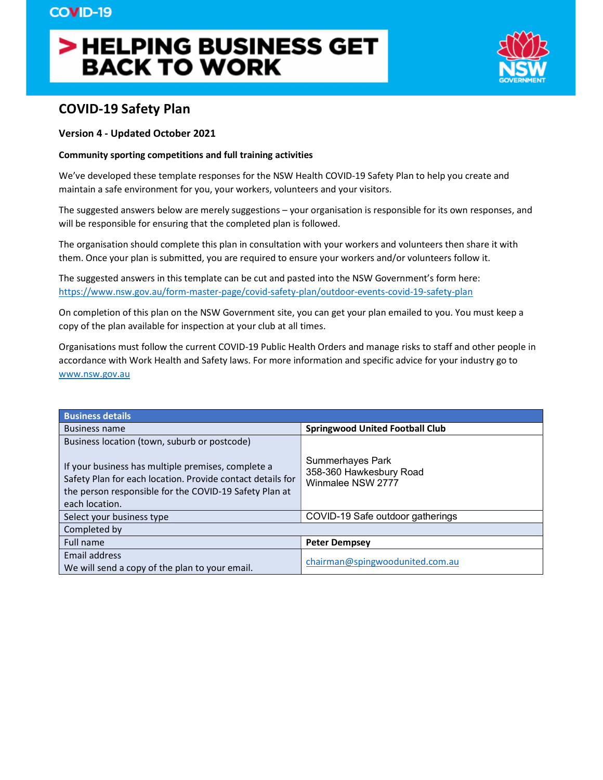# > HELPING BUSINESS GET **BACK TO WORK**



## COVID-19 Safety Plan

#### Version 4 - Updated October 2021

#### Community sporting competitions and full training activities

We've developed these template responses for the NSW Health COVID-19 Safety Plan to help you create and maintain a safe environment for you, your workers, volunteers and your visitors.

The suggested answers below are merely suggestions – your organisation is responsible for its own responses, and will be responsible for ensuring that the completed plan is followed.

The organisation should complete this plan in consultation with your workers and volunteers then share it with them. Once your plan is submitted, you are required to ensure your workers and/or volunteers follow it.

The suggested answers in this template can be cut and pasted into the NSW Government's form here: https://www.nsw.gov.au/form-master-page/covid-safety-plan/outdoor-events-covid-19-safety-plan<br>On completion of this plan on the NSW Government site, you can get your plan emailed to you. You must keep a

copy of the plan available for inspection at your club at all times.

Organisations must follow the current COVID-19 Public Health Orders and manage risks to staff and other people in accordance with Work Health and Safety laws. For more information and specific advice for your industry go to www.nsw.gov.au

| <b>Business details</b>                                                                                                                                                                      |                                                                  |
|----------------------------------------------------------------------------------------------------------------------------------------------------------------------------------------------|------------------------------------------------------------------|
| <b>Business name</b>                                                                                                                                                                         | <b>Springwood United Football Club</b>                           |
| Business location (town, suburb or postcode)                                                                                                                                                 |                                                                  |
| If your business has multiple premises, complete a<br>Safety Plan for each location. Provide contact details for<br>the person responsible for the COVID-19 Safety Plan at<br>each location. | Summerhayes Park<br>358-360 Hawkesbury Road<br>Winmalee NSW 2777 |
| Select your business type                                                                                                                                                                    | COVID-19 Safe outdoor gatherings                                 |
| Completed by                                                                                                                                                                                 |                                                                  |
| Full name                                                                                                                                                                                    | <b>Peter Dempsey</b>                                             |
| Email address<br>We will send a copy of the plan to your email.                                                                                                                              | chairman@spingwoodunited.com.au                                  |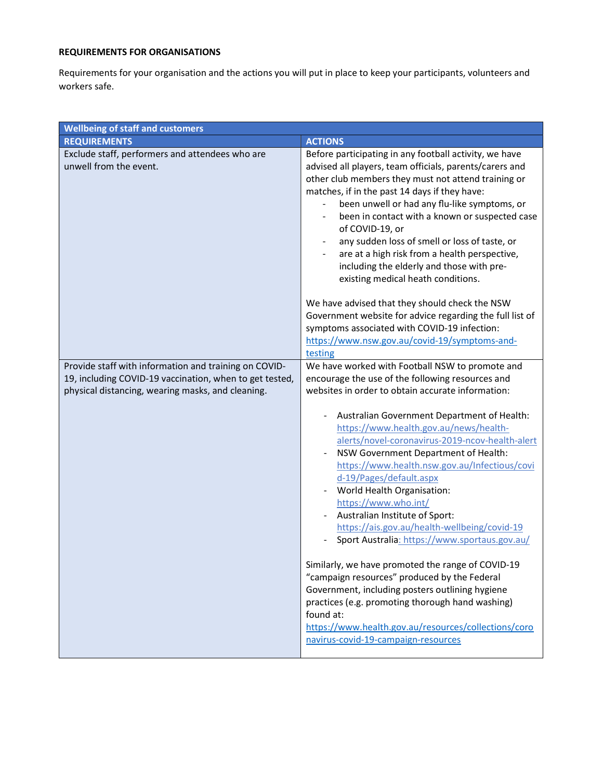### REQUIREMENTS FOR ORGANISATIONS

Requirements for your organisation and the actions you will put in place to keep your participants, volunteers and workers safe.

| <b>Wellbeing of staff and customers</b>                                   |                                                                                                                                                                                                                                                                                                                                                                                                                                                                                                                                                                                                                                                                                                                                                                                                                                    |
|---------------------------------------------------------------------------|------------------------------------------------------------------------------------------------------------------------------------------------------------------------------------------------------------------------------------------------------------------------------------------------------------------------------------------------------------------------------------------------------------------------------------------------------------------------------------------------------------------------------------------------------------------------------------------------------------------------------------------------------------------------------------------------------------------------------------------------------------------------------------------------------------------------------------|
| <b>REQUIREMENTS</b>                                                       | <b>ACTIONS</b>                                                                                                                                                                                                                                                                                                                                                                                                                                                                                                                                                                                                                                                                                                                                                                                                                     |
| Exclude staff, performers and attendees who are<br>unwell from the event. | Before participating in any football activity, we have<br>advised all players, team officials, parents/carers and<br>other club members they must not attend training or<br>matches, if in the past 14 days if they have:<br>been unwell or had any flu-like symptoms, or<br>been in contact with a known or suspected case<br>of COVID-19, or<br>any sudden loss of smell or loss of taste, or<br>are at a high risk from a health perspective,<br>including the elderly and those with pre-<br>existing medical heath conditions.                                                                                                                                                                                                                                                                                                |
|                                                                           | We have advised that they should check the NSW<br>Government website for advice regarding the full list of<br>symptoms associated with COVID-19 infection:<br>https://www.nsw.gov.au/covid-19/symptoms-and-<br>testing                                                                                                                                                                                                                                                                                                                                                                                                                                                                                                                                                                                                             |
| Provide staff with information and training on COVID-                     | We have worked with Football NSW to promote and                                                                                                                                                                                                                                                                                                                                                                                                                                                                                                                                                                                                                                                                                                                                                                                    |
| 19, including COVID-19 vaccination, when to get tested,                   | encourage the use of the following resources and                                                                                                                                                                                                                                                                                                                                                                                                                                                                                                                                                                                                                                                                                                                                                                                   |
| physical distancing, wearing masks, and cleaning.                         | websites in order to obtain accurate information:<br>Australian Government Department of Health:<br>https://www.health.gov.au/news/health-<br>alerts/novel-coronavirus-2019-ncov-health-alert<br>NSW Government Department of Health:<br>https://www.health.nsw.gov.au/Infectious/covi<br>d-19/Pages/default.aspx<br>World Health Organisation:<br>https://www.who.int/<br>Australian Institute of Sport:<br>https://ais.gov.au/health-wellbeing/covid-19<br>Sport Australia: https://www.sportaus.gov.au/<br>Similarly, we have promoted the range of COVID-19<br>"campaign resources" produced by the Federal<br>Government, including posters outlining hygiene<br>practices (e.g. promoting thorough hand washing)<br>found at:<br>https://www.health.gov.au/resources/collections/coro<br>navirus-covid-19-campaign-resources |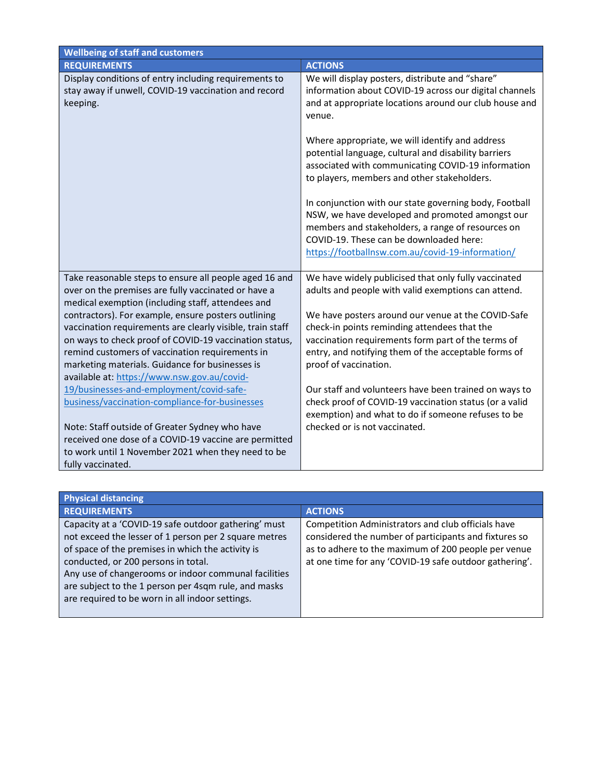| <b>Wellbeing of staff and customers</b>                                                                                   |                                                                                                                                                                                                                                                               |
|---------------------------------------------------------------------------------------------------------------------------|---------------------------------------------------------------------------------------------------------------------------------------------------------------------------------------------------------------------------------------------------------------|
| <b>REQUIREMENTS</b>                                                                                                       | <b>ACTIONS</b>                                                                                                                                                                                                                                                |
| Display conditions of entry including requirements to<br>stay away if unwell, COVID-19 vaccination and record<br>keeping. | We will display posters, distribute and "share"<br>information about COVID-19 across our digital channels<br>and at appropriate locations around our club house and<br>venue.                                                                                 |
|                                                                                                                           | Where appropriate, we will identify and address<br>potential language, cultural and disability barriers<br>associated with communicating COVID-19 information<br>to players, members and other stakeholders.                                                  |
|                                                                                                                           | In conjunction with our state governing body, Football<br>NSW, we have developed and promoted amongst our<br>members and stakeholders, a range of resources on<br>COVID-19. These can be downloaded here:<br>https://footballnsw.com.au/covid-19-information/ |
| Take reasonable steps to ensure all people aged 16 and<br>over on the premises are fully vaccinated or have a             | We have widely publicised that only fully vaccinated<br>adults and people with valid exemptions can attend.                                                                                                                                                   |
| medical exemption (including staff, attendees and                                                                         |                                                                                                                                                                                                                                                               |
| contractors). For example, ensure posters outlining                                                                       | We have posters around our venue at the COVID-Safe                                                                                                                                                                                                            |
| vaccination requirements are clearly visible, train staff                                                                 | check-in points reminding attendees that the                                                                                                                                                                                                                  |
| on ways to check proof of COVID-19 vaccination status,<br>remind customers of vaccination requirements in                 | vaccination requirements form part of the terms of<br>entry, and notifying them of the acceptable forms of                                                                                                                                                    |
| marketing materials. Guidance for businesses is                                                                           | proof of vaccination.                                                                                                                                                                                                                                         |
| available at: https://www.nsw.gov.au/covid-                                                                               |                                                                                                                                                                                                                                                               |
| 19/businesses-and-employment/covid-safe-<br>business/vaccination-compliance-for-businesses                                | Our staff and volunteers have been trained on ways to<br>check proof of COVID-19 vaccination status (or a valid<br>exemption) and what to do if someone refuses to be                                                                                         |
| Note: Staff outside of Greater Sydney who have                                                                            | checked or is not vaccinated.                                                                                                                                                                                                                                 |
| received one dose of a COVID-19 vaccine are permitted                                                                     |                                                                                                                                                                                                                                                               |
| to work until 1 November 2021 when they need to be                                                                        |                                                                                                                                                                                                                                                               |
| fully vaccinated.                                                                                                         |                                                                                                                                                                                                                                                               |

| <b>Physical distancing</b>                            |                                                        |
|-------------------------------------------------------|--------------------------------------------------------|
| <b>REQUIREMENTS</b>                                   | <b>ACTIONS</b>                                         |
| Capacity at a 'COVID-19 safe outdoor gathering' must  | Competition Administrators and club officials have     |
| not exceed the lesser of 1 person per 2 square metres | considered the number of participants and fixtures so  |
| of space of the premises in which the activity is     | as to adhere to the maximum of 200 people per venue    |
| conducted, or 200 persons in total.                   | at one time for any 'COVID-19 safe outdoor gathering'. |
| Any use of changerooms or indoor communal facilities  |                                                        |
| are subject to the 1 person per 4sqm rule, and masks  |                                                        |
| are required to be worn in all indoor settings.       |                                                        |
|                                                       |                                                        |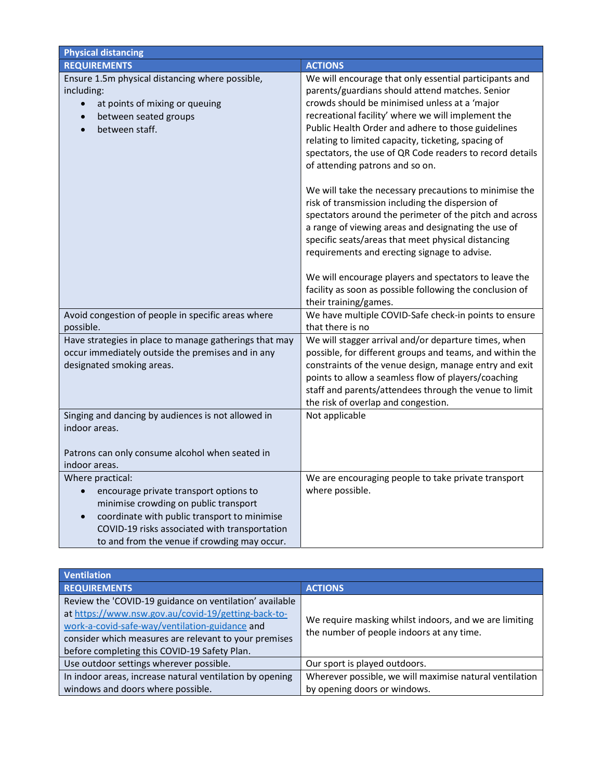| <b>Physical distancing</b>                                                                                                                                                                                                                           |                                                                                                                                                                                                                                                                                                                                                                                                                                                         |
|------------------------------------------------------------------------------------------------------------------------------------------------------------------------------------------------------------------------------------------------------|---------------------------------------------------------------------------------------------------------------------------------------------------------------------------------------------------------------------------------------------------------------------------------------------------------------------------------------------------------------------------------------------------------------------------------------------------------|
| <b>REQUIREMENTS</b>                                                                                                                                                                                                                                  | <b>ACTIONS</b>                                                                                                                                                                                                                                                                                                                                                                                                                                          |
| Ensure 1.5m physical distancing where possible,<br>including:<br>at points of mixing or queuing<br>between seated groups<br>between staff.                                                                                                           | We will encourage that only essential participants and<br>parents/guardians should attend matches. Senior<br>crowds should be minimised unless at a 'major<br>recreational facility' where we will implement the<br>Public Health Order and adhere to those guidelines<br>relating to limited capacity, ticketing, spacing of<br>spectators, the use of QR Code readers to record details<br>of attending patrons and so on.                            |
|                                                                                                                                                                                                                                                      | We will take the necessary precautions to minimise the<br>risk of transmission including the dispersion of<br>spectators around the perimeter of the pitch and across<br>a range of viewing areas and designating the use of<br>specific seats/areas that meet physical distancing<br>requirements and erecting signage to advise.<br>We will encourage players and spectators to leave the<br>facility as soon as possible following the conclusion of |
|                                                                                                                                                                                                                                                      | their training/games.                                                                                                                                                                                                                                                                                                                                                                                                                                   |
| Avoid congestion of people in specific areas where<br>possible.                                                                                                                                                                                      | We have multiple COVID-Safe check-in points to ensure<br>that there is no                                                                                                                                                                                                                                                                                                                                                                               |
| Have strategies in place to manage gatherings that may<br>occur immediately outside the premises and in any<br>designated smoking areas.                                                                                                             | We will stagger arrival and/or departure times, when<br>possible, for different groups and teams, and within the<br>constraints of the venue design, manage entry and exit<br>points to allow a seamless flow of players/coaching<br>staff and parents/attendees through the venue to limit<br>the risk of overlap and congestion.                                                                                                                      |
| Singing and dancing by audiences is not allowed in<br>indoor areas.<br>Patrons can only consume alcohol when seated in                                                                                                                               | Not applicable                                                                                                                                                                                                                                                                                                                                                                                                                                          |
| indoor areas.                                                                                                                                                                                                                                        |                                                                                                                                                                                                                                                                                                                                                                                                                                                         |
| Where practical:<br>encourage private transport options to<br>minimise crowding on public transport<br>coordinate with public transport to minimise<br>COVID-19 risks associated with transportation<br>to and from the venue if crowding may occur. | We are encouraging people to take private transport<br>where possible.                                                                                                                                                                                                                                                                                                                                                                                  |

| <b>Ventilation</b>                                       |                                                                                                     |
|----------------------------------------------------------|-----------------------------------------------------------------------------------------------------|
| <b>REQUIREMENTS</b>                                      | <b>ACTIONS</b>                                                                                      |
| Review the 'COVID-19 guidance on ventilation' available  |                                                                                                     |
| at https://www.nsw.gov.au/covid-19/getting-back-to-      | We require masking whilst indoors, and we are limiting<br>the number of people indoors at any time. |
| work-a-covid-safe-way/ventilation-guidance and           |                                                                                                     |
| consider which measures are relevant to your premises    |                                                                                                     |
| before completing this COVID-19 Safety Plan.             |                                                                                                     |
| Use outdoor settings wherever possible.                  | Our sport is played outdoors.                                                                       |
| In indoor areas, increase natural ventilation by opening | Wherever possible, we will maximise natural ventilation                                             |
| windows and doors where possible.                        | by opening doors or windows.                                                                        |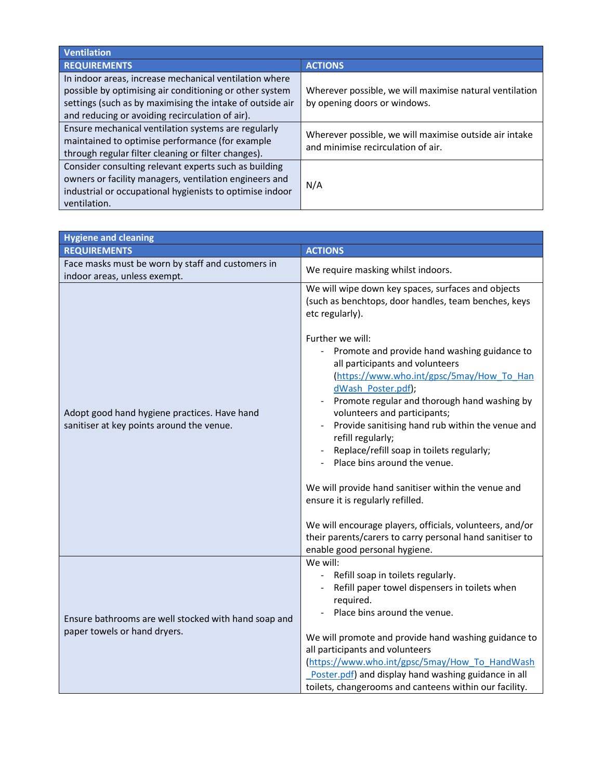| <b>Ventilation</b>                                                                                                                                                                                                                |                                                                                              |
|-----------------------------------------------------------------------------------------------------------------------------------------------------------------------------------------------------------------------------------|----------------------------------------------------------------------------------------------|
| <b>REQUIREMENTS</b>                                                                                                                                                                                                               | <b>ACTIONS</b>                                                                               |
| In indoor areas, increase mechanical ventilation where<br>possible by optimising air conditioning or other system<br>settings (such as by maximising the intake of outside air<br>and reducing or avoiding recirculation of air). | Wherever possible, we will maximise natural ventilation<br>by opening doors or windows.      |
| Ensure mechanical ventilation systems are regularly<br>maintained to optimise performance (for example<br>through regular filter cleaning or filter changes).                                                                     | Wherever possible, we will maximise outside air intake<br>and minimise recirculation of air. |
| Consider consulting relevant experts such as building<br>owners or facility managers, ventilation engineers and<br>industrial or occupational hygienists to optimise indoor<br>ventilation.                                       | N/A                                                                                          |

| <b>Hygiene and cleaning</b>                                                               |                                                                                                                                                                                                                                                                                                                                                                                                                                                                                                                                                                                                                                                                                                                                                                                                   |
|-------------------------------------------------------------------------------------------|---------------------------------------------------------------------------------------------------------------------------------------------------------------------------------------------------------------------------------------------------------------------------------------------------------------------------------------------------------------------------------------------------------------------------------------------------------------------------------------------------------------------------------------------------------------------------------------------------------------------------------------------------------------------------------------------------------------------------------------------------------------------------------------------------|
| <b>REQUIREMENTS</b>                                                                       | <b>ACTIONS</b>                                                                                                                                                                                                                                                                                                                                                                                                                                                                                                                                                                                                                                                                                                                                                                                    |
| Face masks must be worn by staff and customers in<br>indoor areas, unless exempt.         | We require masking whilst indoors.                                                                                                                                                                                                                                                                                                                                                                                                                                                                                                                                                                                                                                                                                                                                                                |
| Adopt good hand hygiene practices. Have hand<br>sanitiser at key points around the venue. | We will wipe down key spaces, surfaces and objects<br>(such as benchtops, door handles, team benches, keys<br>etc regularly).<br>Further we will:<br>Promote and provide hand washing guidance to<br>all participants and volunteers<br>(https://www.who.int/gpsc/5may/How To Han<br>dWash Poster.pdf);<br>Promote regular and thorough hand washing by<br>volunteers and participants;<br>Provide sanitising hand rub within the venue and<br>refill regularly;<br>Replace/refill soap in toilets regularly;<br>Place bins around the venue.<br>We will provide hand sanitiser within the venue and<br>ensure it is regularly refilled.<br>We will encourage players, officials, volunteers, and/or<br>their parents/carers to carry personal hand sanitiser to<br>enable good personal hygiene. |
| Ensure bathrooms are well stocked with hand soap and<br>paper towels or hand dryers.      | We will:<br>- Refill soap in toilets regularly.<br>Refill paper towel dispensers in toilets when<br>required.<br>Place bins around the venue.<br>We will promote and provide hand washing guidance to<br>all participants and volunteers<br>(https://www.who.int/gpsc/5may/How To HandWash<br>Poster.pdf) and display hand washing guidance in all<br>toilets, changerooms and canteens within our facility.                                                                                                                                                                                                                                                                                                                                                                                      |